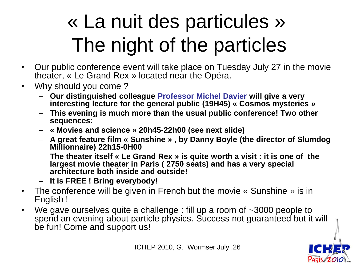### « La nuit des particules » The night of the particles

- Our public conference event will take place on Tuesday July 27 in the movie theater, « Le Grand Rex » located near the Opéra.
- Why should you come ?
	- **Our distinguished colleague Professor Michel Davier will give a very interesting lecture for the general public (19H45) « Cosmos mysteries »**
	- **This evening is much more than the usual public conference! Two other sequences:**
	- **« Movies and science » 20h45-22h00 (see next slide)**
	- **A great feature film « Sunshine » , by Danny Boyle (the director of Slumdog Millionnaire) 22h15-0H00**
	- **The theater itself « Le Grand Rex » is quite worth a visit : it is one of the largest movie theater in Paris ( 2750 seats) and has a very special architecture both inside and outside!**
	- **It is FREE ! Bring everybody!**
- The conference will be given in French but the movie « Sunshine » is in English !
- We gave ourselves quite a challenge : fill up a room of ~3000 people to spend an evening about particle physics. Success not guaranteed but it will be fun! Come and support us!

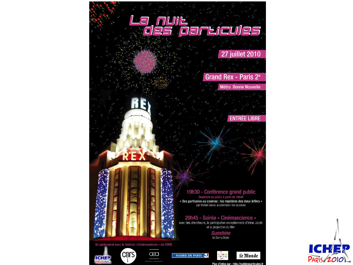

**ICHER**<br>PARIS/2010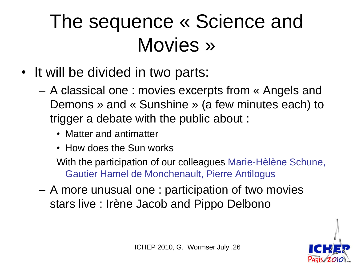#### The sequence « Science and Movies »

- It will be divided in two parts:
	- A classical one : movies excerpts from « Angels and Demons » and « Sunshine » (a few minutes each) to trigger a debate with the public about :
		- Matter and antimatter
		- How does the Sun works

With the participation of our colleagues Marie-Hèlène Schune, Gautier Hamel de Monchenault, Pierre Antilogus

– A more unusual one : participation of two movies stars live : Irène Jacob and Pippo Delbono

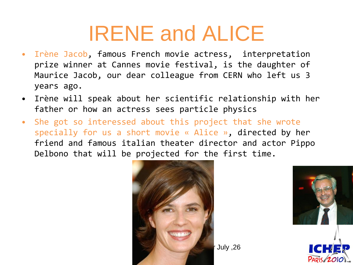#### IRENE and ALICE

- Irène Jacob, famous French movie actress, interpretation prize winner at Cannes movie festival, is the daughter of Maurice Jacob, our dear colleague from CERN who left us 3 years ago.
- Irène will speak about her scientific relationship with her father or how an actress sees particle physics
- She got so interessed about this project that she wrote specially for us a short movie « Alice », directed by her friend and famous italian theater director and actor Pippo Delbono that will be projected for the first time.





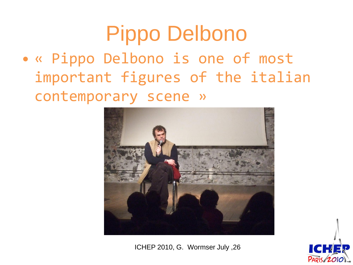#### Pippo Delbono

• « Pippo Delbono is one of most important figures of the italian contemporary scene »



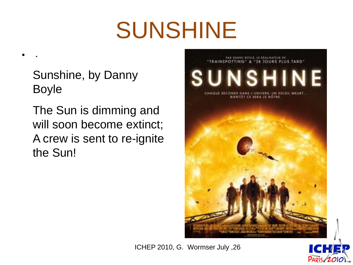# SUNSHINE

Sunshine, by Danny Boyle

• .

The Sun is dimming and will soon become extinct; A crew is sent to re-ignite the Sun!